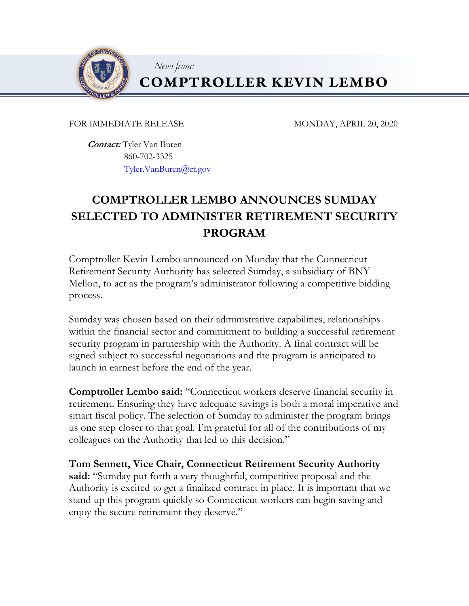

**COMPTROLLER KEVIN LEMBO** 

FOR IMMEDIATE RELEASE MONDAY, APRIL 20, 2020

 **Contact:** Tyler Van Buren 860-702-3325 Tyler.VanBuren@ct.gov

News from:

## **COMPTROLLER LEMBO ANNOUNCES SUMDAY SELECTED TO ADMINISTER RETIREMENT SECURITY PROGRAM**

Comptroller Kevin Lembo announced on Monday that the Connecticut Retirement Security Authority has selected Sumday, a subsidiary of BNY Mellon, to act as the program's administrator following a competitive bidding process.

Sumday was chosen based on their administrative capabilities, relationships within the financial sector and commitment to building a successful retirement security program in partnership with the Authority. A final contract will be signed subject to successful negotiations and the program is anticipated to launch in earnest before the end of the year.

**Comptroller Lembo said:** "Connecticut workers deserve financial security in retirement. Ensuring they have adequate savings is both a moral imperative and smart fiscal policy. The selection of Sumday to administer the program brings us one step closer to that goal. I'm grateful for all of the contributions of my colleagues on the Authority that led to this decision."

**Tom Sennett, Vice Chair, Connecticut Retirement Security Authority said:** "Sumday put forth a very thoughtful, competitive proposal and the Authority is excited to get a finalized contract in place. It is important that we stand up this program quickly so Connecticut workers can begin saving and enjoy the secure retirement they deserve."